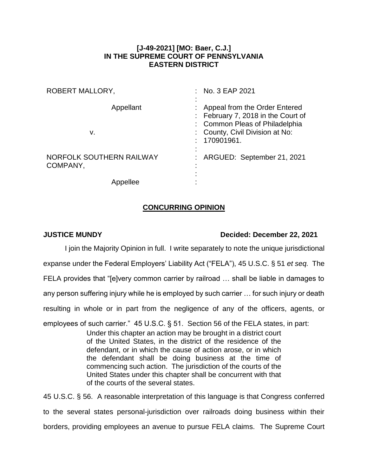## **[J-49-2021] [MO: Baer, C.J.] IN THE SUPREME COURT OF PENNSYLVANIA EASTERN DISTRICT**

| <b>ROBERT MALLORY,</b>               | : No. $3$ EAP 2021                                                                                                                                       |
|--------------------------------------|----------------------------------------------------------------------------------------------------------------------------------------------------------|
| Appellant<br>v.                      | Appeal from the Order Entered<br>: February 7, 2018 in the Court of<br>: Common Pleas of Philadelphia<br>: County, Civil Division at No:<br>: 170901961. |
| NORFOLK SOUTHERN RAILWAY<br>COMPANY, | : ARGUED: September 21, 2021                                                                                                                             |
| Appellee                             |                                                                                                                                                          |

## **CONCURRING OPINION**

## **JUSTICE MUNDY Decided: December 22, 2021**

I join the Majority Opinion in full. I write separately to note the unique jurisdictional expanse under the Federal Employers' Liability Act ("FELA"), 45 U.S.C. § 51 *et seq.* The FELA provides that "[e]very common carrier by railroad … shall be liable in damages to any person suffering injury while he is employed by such carrier … for such injury or death resulting in whole or in part from the negligence of any of the officers, agents, or employees of such carrier." 45 U.S.C. § 51. Section 56 of the FELA states, in part: Under this chapter an action may be brought in a district court of the United States, in the district of the residence of the defendant, or in which the cause of action arose, or in which the defendant shall be doing business at the time of commencing such action. The jurisdiction of the courts of the United States under this chapter shall be concurrent with that of the courts of the several states. 45 U.S.C. § 56. A reasonable interpretation of this language is that Congress conferred to the several states personal-jurisdiction over railroads doing business within their

borders, providing employees an avenue to pursue FELA claims. The Supreme Court